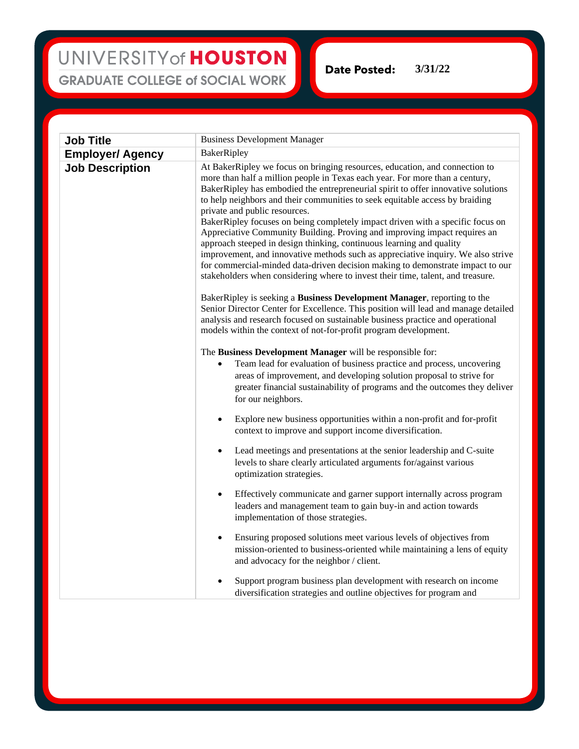## UNIVERSITY of HOUSTON **GRADUATE COLLEGE of SOCIAL WORK**

**Date Posted: 3/31/22**

| <b>Job Title</b>        | <b>Business Development Manager</b>                                                                                                                                                                                                                                                                                                                                                                                                                                                                                                                                                                                                                                                                                                                                                                                                                               |
|-------------------------|-------------------------------------------------------------------------------------------------------------------------------------------------------------------------------------------------------------------------------------------------------------------------------------------------------------------------------------------------------------------------------------------------------------------------------------------------------------------------------------------------------------------------------------------------------------------------------------------------------------------------------------------------------------------------------------------------------------------------------------------------------------------------------------------------------------------------------------------------------------------|
| <b>Employer/ Agency</b> | BakerRipley                                                                                                                                                                                                                                                                                                                                                                                                                                                                                                                                                                                                                                                                                                                                                                                                                                                       |
| <b>Job Description</b>  | At BakerRipley we focus on bringing resources, education, and connection to<br>more than half a million people in Texas each year. For more than a century,<br>BakerRipley has embodied the entrepreneurial spirit to offer innovative solutions<br>to help neighbors and their communities to seek equitable access by braiding<br>private and public resources.<br>BakerRipley focuses on being completely impact driven with a specific focus on<br>Appreciative Community Building. Proving and improving impact requires an<br>approach steeped in design thinking, continuous learning and quality<br>improvement, and innovative methods such as appreciative inquiry. We also strive<br>for commercial-minded data-driven decision making to demonstrate impact to our<br>stakeholders when considering where to invest their time, talent, and treasure. |
|                         | BakerRipley is seeking a Business Development Manager, reporting to the<br>Senior Director Center for Excellence. This position will lead and manage detailed<br>analysis and research focused on sustainable business practice and operational<br>models within the context of not-for-profit program development.                                                                                                                                                                                                                                                                                                                                                                                                                                                                                                                                               |
|                         | The Business Development Manager will be responsible for:<br>Team lead for evaluation of business practice and process, uncovering<br>$\bullet$<br>areas of improvement, and developing solution proposal to strive for<br>greater financial sustainability of programs and the outcomes they deliver<br>for our neighbors.                                                                                                                                                                                                                                                                                                                                                                                                                                                                                                                                       |
|                         | Explore new business opportunities within a non-profit and for-profit<br>$\bullet$<br>context to improve and support income diversification.                                                                                                                                                                                                                                                                                                                                                                                                                                                                                                                                                                                                                                                                                                                      |
|                         | Lead meetings and presentations at the senior leadership and C-suite<br>levels to share clearly articulated arguments for/against various<br>optimization strategies.                                                                                                                                                                                                                                                                                                                                                                                                                                                                                                                                                                                                                                                                                             |
|                         | Effectively communicate and garner support internally across program<br>٠<br>leaders and management team to gain buy-in and action towards<br>implementation of those strategies.                                                                                                                                                                                                                                                                                                                                                                                                                                                                                                                                                                                                                                                                                 |
|                         | Ensuring proposed solutions meet various levels of objectives from<br>٠<br>mission-oriented to business-oriented while maintaining a lens of equity<br>and advocacy for the neighbor / client.                                                                                                                                                                                                                                                                                                                                                                                                                                                                                                                                                                                                                                                                    |
|                         | Support program business plan development with research on income<br>diversification strategies and outline objectives for program and                                                                                                                                                                                                                                                                                                                                                                                                                                                                                                                                                                                                                                                                                                                            |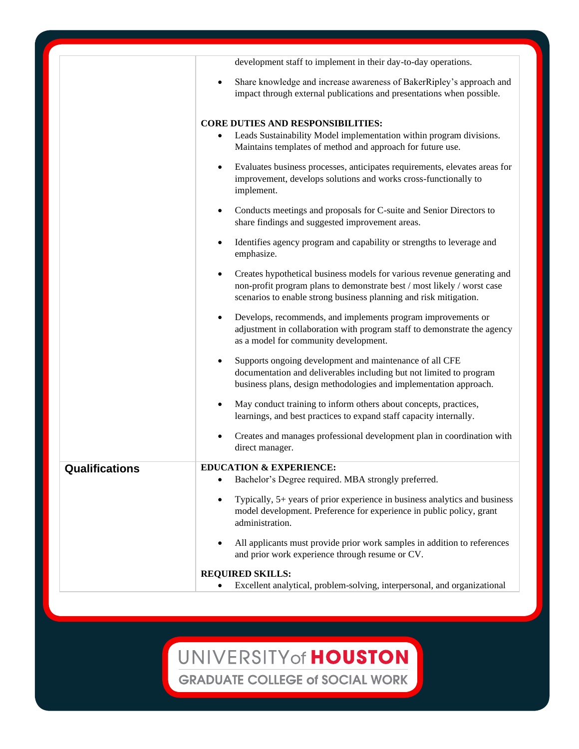|                       | development staff to implement in their day-to-day operations.                                                                                                                                                                        |
|-----------------------|---------------------------------------------------------------------------------------------------------------------------------------------------------------------------------------------------------------------------------------|
|                       | Share knowledge and increase awareness of BakerRipley's approach and<br>impact through external publications and presentations when possible.                                                                                         |
|                       | <b>CORE DUTIES AND RESPONSIBILITIES:</b>                                                                                                                                                                                              |
|                       | Leads Sustainability Model implementation within program divisions.<br>Maintains templates of method and approach for future use.                                                                                                     |
|                       | Evaluates business processes, anticipates requirements, elevates areas for<br>improvement, develops solutions and works cross-functionally to<br>implement.                                                                           |
|                       | Conducts meetings and proposals for C-suite and Senior Directors to<br>share findings and suggested improvement areas.                                                                                                                |
|                       | Identifies agency program and capability or strengths to leverage and<br>$\bullet$<br>emphasize.                                                                                                                                      |
|                       | Creates hypothetical business models for various revenue generating and<br>non-profit program plans to demonstrate best $\prime$ most likely $\prime$ worst case<br>scenarios to enable strong business planning and risk mitigation. |
|                       | Develops, recommends, and implements program improvements or<br>adjustment in collaboration with program staff to demonstrate the agency<br>as a model for community development.                                                     |
|                       | Supports ongoing development and maintenance of all CFE<br>documentation and deliverables including but not limited to program<br>business plans, design methodologies and implementation approach.                                   |
|                       | May conduct training to inform others about concepts, practices,<br>learnings, and best practices to expand staff capacity internally.                                                                                                |
|                       | Creates and manages professional development plan in coordination with<br>direct manager.                                                                                                                                             |
| <b>Qualifications</b> | <b>EDUCATION &amp; EXPERIENCE:</b><br>Bachelor's Degree required. MBA strongly preferred.                                                                                                                                             |
|                       | Typically, 5+ years of prior experience in business analytics and business<br>model development. Preference for experience in public policy, grant<br>administration.                                                                 |
|                       | All applicants must provide prior work samples in addition to references<br>and prior work experience through resume or CV.                                                                                                           |
|                       | <b>REQUIRED SKILLS:</b><br>Excellent analytical, problem-solving, interpersonal, and organizational                                                                                                                                   |

UNIVERSITY of HOUSTON

**GRADUATE COLLEGE of SOCIAL WORK**